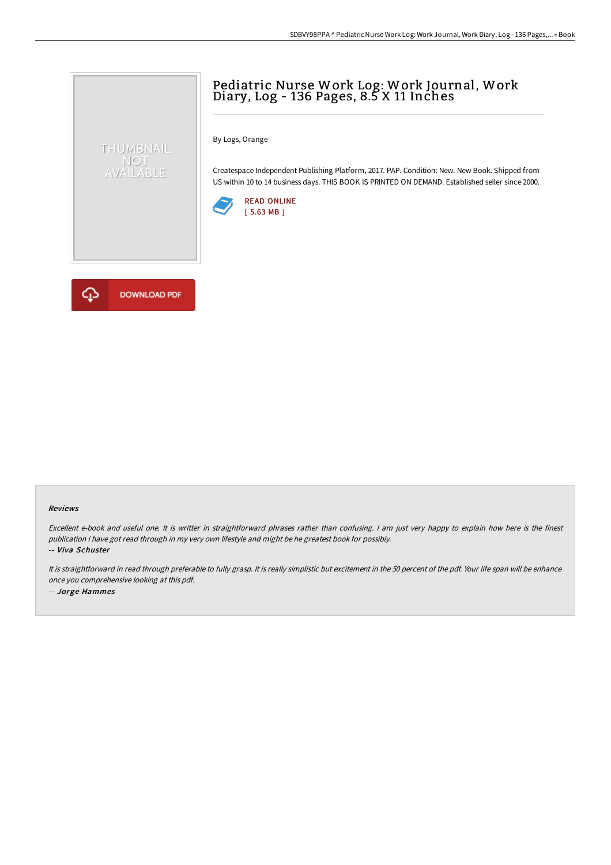## Pediatric Nurse Work Log: Work Journal, Work Diary, Log - 136 Pages, 8.5 X 11 Inches

By Logs, Orange

Createspace Independent Publishing Platform, 2017. PAP. Condition: New. New Book. Shipped from US within 10 to 14 business days. THIS BOOK IS PRINTED ON DEMAND. Established seller since 2000.





THUMBNAIL NOT<br>AVAILABLE

## Reviews

Excellent e-book and useful one. It is writter in straightforward phrases rather than confusing. <sup>I</sup> am just very happy to explain how here is the finest publication i have got read through in my very own lifestyle and might be he greatest book for possibly. -- Viva Schuster

It is straightforward in read through preferable to fully grasp. It is really simplistic but excitement in the <sup>50</sup> percent of the pdf. Your life span will be enhance once you comprehensive looking at this pdf. -- Jorge Hammes